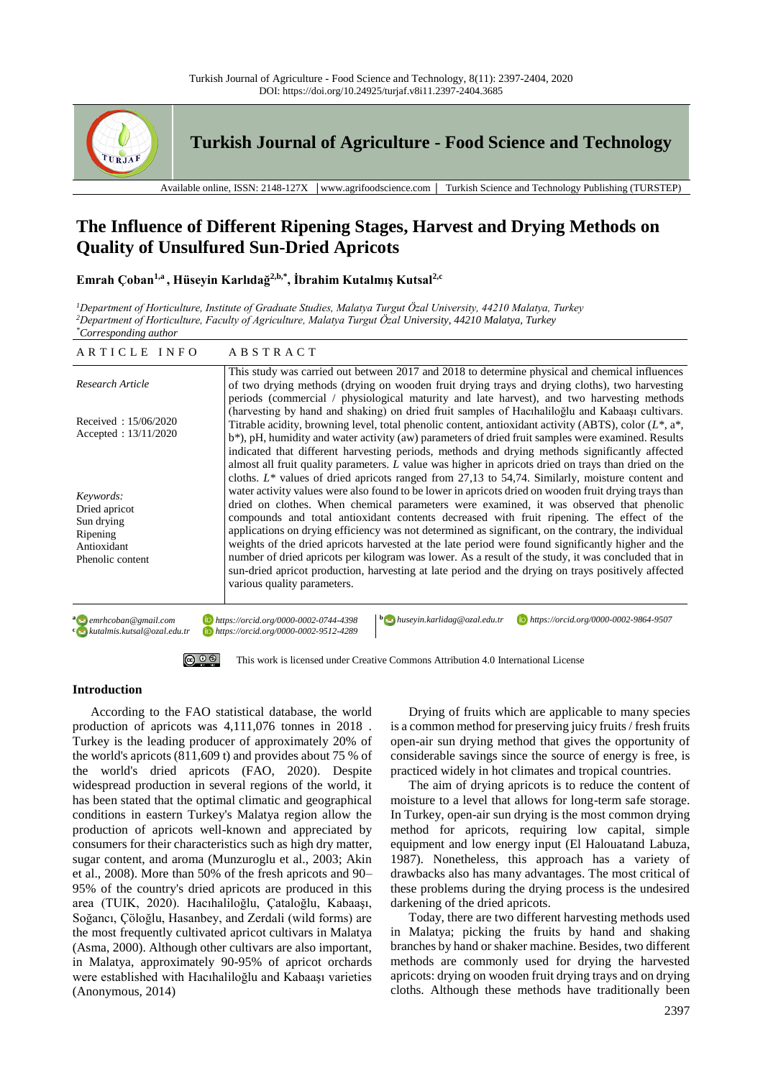

**Turkish Journal of Agriculture - Food Science and Technology**

Available online, ISSN: 2148-127X │www.agrifoodscience.com │ Turkish Science and Technology Publishing (TURSTEP)

# **The Influence of Different Ripening Stages, Harvest and Drying Methods on Quality of Unsulfured Sun-Dried Apricots**

**Emrah Çoban1,a , Hüseyin Karlıdağ2,b,\*, İbrahim Kutalmış Kutsal2,c**

*<sup>1</sup>Department of Horticulture, Institute of Graduate Studies, Malatya Turgut Özal University, 44210 Malatya, Turkey <sup>2</sup>Department of Horticulture, Faculty of Agriculture, Malatya Turgut Özal University, 44210 Malatya, Turkey \*Corresponding author*

| ARTICLE INFO                                                                            | <b>ABSTRACT</b>                                                                                                                                                                                                                                                                                                                                                                                                                                                                                                                                                                                                                                                                                                                                                                                                                                                                                                                                                        |
|-----------------------------------------------------------------------------------------|------------------------------------------------------------------------------------------------------------------------------------------------------------------------------------------------------------------------------------------------------------------------------------------------------------------------------------------------------------------------------------------------------------------------------------------------------------------------------------------------------------------------------------------------------------------------------------------------------------------------------------------------------------------------------------------------------------------------------------------------------------------------------------------------------------------------------------------------------------------------------------------------------------------------------------------------------------------------|
| Research Article                                                                        | This study was carried out between 2017 and 2018 to determine physical and chemical influences<br>of two drying methods (drying on wooden fruit drying trays and drying cloths), two harvesting<br>periods (commercial / physiological maturity and late harvest), and two harvesting methods                                                                                                                                                                                                                                                                                                                                                                                                                                                                                                                                                                                                                                                                          |
| Received: 15/06/2020<br>Accepted: $13/11/2020$                                          | (harvesting by hand and shaking) on dried fruit samples of Hacıhaliloğlu and Kabaaşı cultivars.<br>Titrable acidity, browning level, total phenolic content, antioxidant activity (ABTS), color $(L^*, a^*,$<br>b*), pH, humidity and water activity (aw) parameters of dried fruit samples were examined. Results<br>indicated that different harvesting periods, methods and drying methods significantly affected                                                                                                                                                                                                                                                                                                                                                                                                                                                                                                                                                   |
| Keywords:<br>Dried apricot<br>Sun drying<br>Ripening<br>Antioxidant<br>Phenolic content | almost all fruit quality parameters. L value was higher in apricots dried on trays than dried on the<br>cloths. $L^*$ values of dried apricots ranged from 27,13 to 54,74. Similarly, moisture content and<br>water activity values were also found to be lower in apricots dried on wooden fruit drying trays than<br>dried on clothes. When chemical parameters were examined, it was observed that phenolic<br>compounds and total antioxidant contents decreased with fruit ripening. The effect of the<br>applications on drying efficiency was not determined as significant, on the contrary, the individual<br>weights of the dried apricots harvested at the late period were found significantly higher and the<br>number of dried apricots per kilogram was lower. As a result of the study, it was concluded that in<br>sun-dried apricot production, harvesting at late period and the drying on trays positively affected<br>various quality parameters. |
| a emrhcoban@gmail.com                                                                   | $\mathbf{b}$ huseyin.karlidag@ozal.edu.tr<br>https://orcid.org/0000-0002-9864-9507<br>https://orcid.org/0000-0002-0744-4398                                                                                                                                                                                                                                                                                                                                                                                                                                                                                                                                                                                                                                                                                                                                                                                                                                            |

**<sup>c</sup>** *kutalmis.kutsal@ozal.edu.tr https://orcid.org/0000-0002-9512-4289*



[This work is licensed under Creative Commons Attribution 4.0 International License](http://creativecommons.org/licenses/by-nc/4.0/)

## **Introduction**

According to the FAO statistical database, the world production of apricots was 4,111,076 tonnes in 2018 . Turkey is the leading producer of approximately 20% of the world's apricots (811,609 t) and provides about 75 % of the world's dried apricots (FAO, 2020). Despite widespread production in several regions of the world, it has been stated that the optimal climatic and geographical conditions in eastern Turkey's Malatya region allow the production of apricots well-known and appreciated by consumers for their characteristics such as high dry matter, sugar content, and aroma (Munzuroglu et al., 2003; Akin et al., 2008). More than 50% of the fresh apricots and 90– 95% of the country's dried apricots are produced in this area (TUIK, 2020). Hacıhaliloğlu, Çataloğlu, Kabaaşı, Soğancı, Çöloğlu, Hasanbey, and Zerdali (wild forms) are the most frequently cultivated apricot cultivars in Malatya (Asma, 2000). Although other cultivars are also important, in Malatya, approximately 90-95% of apricot orchards were established with Hacıhaliloğlu and Kabaaşı varieties (Anonymous, 2014)

Drying of fruits which are applicable to many species is a common method for preserving juicy fruits / fresh fruits open-air sun drying method that gives the opportunity of considerable savings since the source of energy is free, is practiced widely in hot climates and tropical countries.

The aim of drying apricots is to reduce the content of moisture to a level that allows for long-term safe storage. In Turkey, open-air sun drying is the most common drying method for apricots, requiring low capital, simple equipment and low energy input (El Halouatand Labuza, 1987). Nonetheless, this approach has a variety of drawbacks also has many advantages. The most critical of these problems during the drying process is the undesired darkening of the dried apricots.

Today, there are two different harvesting methods used in Malatya; picking the fruits by hand and shaking branches by hand or shaker machine. Besides, two different methods are commonly used for drying the harvested apricots: drying on wooden fruit drying trays and on drying cloths. Although these methods have traditionally been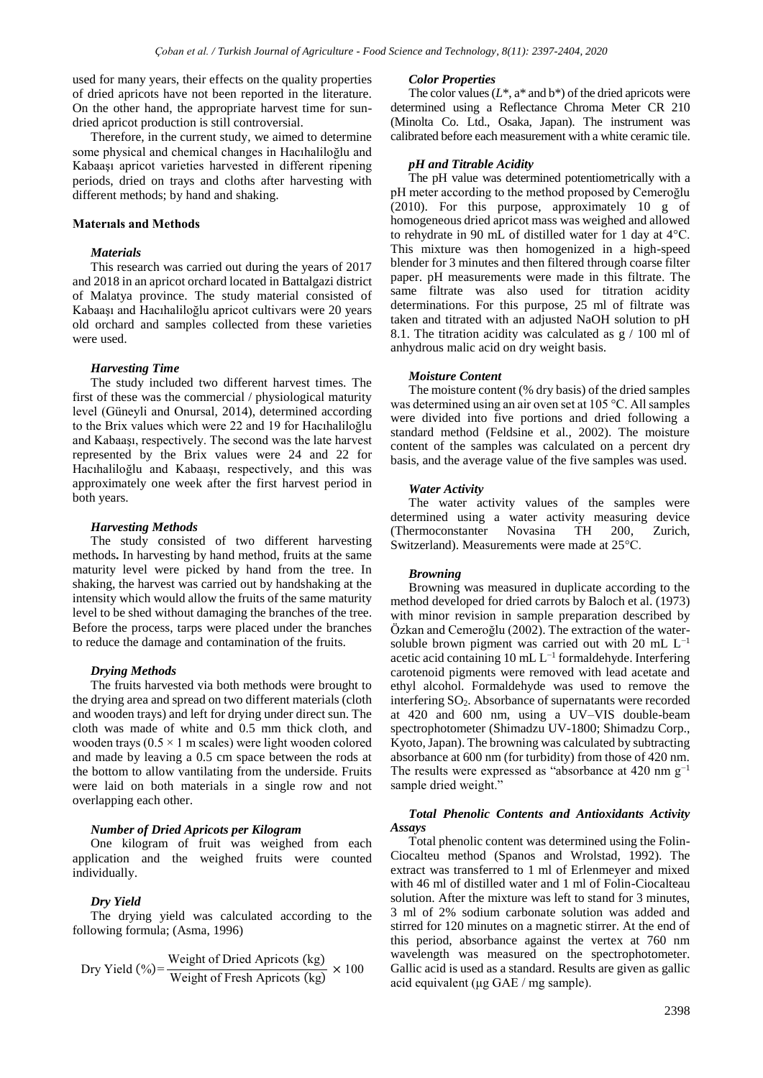used for many years, their effects on the quality properties of dried apricots have not been reported in the literature. On the other hand, the appropriate harvest time for sundried apricot production is still controversial.

Therefore, in the current study, we aimed to determine some physical and chemical changes in Hacıhaliloğlu and Kabaaşı apricot varieties harvested in different ripening periods, dried on trays and cloths after harvesting with different methods; by hand and shaking.

## **Materıals and Methods**

#### *Materials*

This research was carried out during the years of 2017 and 2018 in an apricot orchard located in Battalgazi district of Malatya province. The study material consisted of Kabaaşı and Hacıhaliloğlu apricot cultivars were 20 years old orchard and samples collected from these varieties were used.

#### *Harvesting Time*

The study included two different harvest times. The first of these was the commercial / physiological maturity level (Güneyli and Onursal, 2014), determined according to the Brix values which were 22 and 19 for Hacıhaliloğlu and Kabaaşı, respectively. The second was the late harvest represented by the Brix values were 24 and 22 for Hacıhaliloğlu and Kabaaşı, respectively, and this was approximately one week after the first harvest period in both years.

## *Harvesting Methods*

The study consisted of two different harvesting methods**.** In harvesting by hand method, fruits at the same maturity level were picked by hand from the tree. In shaking, the harvest was carried out by handshaking at the intensity which would allow the fruits of the same maturity level to be shed without damaging the branches of the tree. Before the process, tarps were placed under the branches to reduce the damage and contamination of the fruits.

#### *Drying Methods*

The fruits harvested via both methods were brought to the drying area and spread on two different materials (cloth and wooden trays) and left for drying under direct sun. The cloth was made of white and 0.5 mm thick cloth, and wooden trays  $(0.5 \times 1 \text{ m scales})$  were light wooden colored and made by leaving a 0.5 cm space between the rods at the bottom to allow vantilating from the underside. Fruits were laid on both materials in a single row and not overlapping each other.

#### *Number of Dried Apricots per Kilogram*

One kilogram of fruit was weighed from each application and the weighed fruits were counted individually.

# *Dry Yield*

The drying yield was calculated according to the following formula; (Asma, 1996)

$$
Try Yield (%) = \frac{Weight of Dried \, \text{Aprices (kg)}}{\text{Weight of Fresh \, \text{Aprices (kg)}}} \times 100
$$

#### *Color Properties*

The color values  $(L^*, a^*$  and  $b^*)$  of the dried apricots were determined using a Reflectance Chroma Meter CR 210 (Minolta Co. Ltd., Osaka, Japan). The instrument was calibrated before each measurement with a white ceramic tile.

## *pH and Titrable Acidity*

The pH value was determined potentiometrically with a pH meter according to the method proposed by Cemeroğlu (2010). For this purpose, approximately 10 g of homogeneous dried apricot mass was weighed and allowed to rehydrate in 90 mL of distilled water for 1 day at 4°C. This mixture was then homogenized in a high-speed blender for 3 minutes and then filtered through coarse filter paper. pH measurements were made in this filtrate. The same filtrate was also used for titration acidity determinations. For this purpose, 25 ml of filtrate was taken and titrated with an adjusted NaOH solution to pH 8.1. The titration acidity was calculated as g / 100 ml of anhydrous malic acid on dry weight basis.

#### *Moisture Content*

The moisture content (% dry basis) of the dried samples was determined using an air oven set at 105 °C. All samples were divided into five portions and dried following a standard method (Feldsine et al., 2002). The moisture content of the samples was calculated on a percent dry basis, and the average value of the five samples was used.

# *Water Activity*

The water activity values of the samples were determined using a water activity measuring device (Thermoconstanter Novasina TH 200, Zurich, Switzerland). Measurements were made at 25°C.

#### *Browning*

Browning was measured in duplicate according to the method developed for dried carrots by Baloch et al. (1973) with minor revision in sample preparation described by Özkan and Cemeroğlu (2002). The extraction of the watersoluble brown pigment was carried out with 20 mL  $L^{-1}$ acetic acid containing 10 mL L−1 formaldehyde. Interfering carotenoid pigments were removed with lead acetate and ethyl alcohol. Formaldehyde was used to remove the interfering  $SO<sub>2</sub>$ . Absorbance of supernatants were recorded at 420 and 600 nm, using a UV–VIS double-beam spectrophotometer (Shimadzu UV-1800; Shimadzu Corp., Kyoto, Japan). The browning was calculated by subtracting absorbance at 600 nm (for turbidity) from those of 420 nm. The results were expressed as "absorbance at 420 nm  $g^{-1}$ sample dried weight."

# *Total Phenolic Contents and Antioxidants Activity Assays*

Total phenolic content was determined using the Folin-Ciocalteu method (Spanos and Wrolstad, 1992). The extract was transferred to 1 ml of Erlenmeyer and mixed with 46 ml of distilled water and 1 ml of Folin-Ciocalteau solution. After the mixture was left to stand for 3 minutes, 3 ml of 2% sodium carbonate solution was added and stirred for 120 minutes on a magnetic stirrer. At the end of this period, absorbance against the vertex at 760 nm wavelength was measured on the spectrophotometer. Gallic acid is used as a standard. Results are given as gallic acid equivalent (μg GAE / mg sample).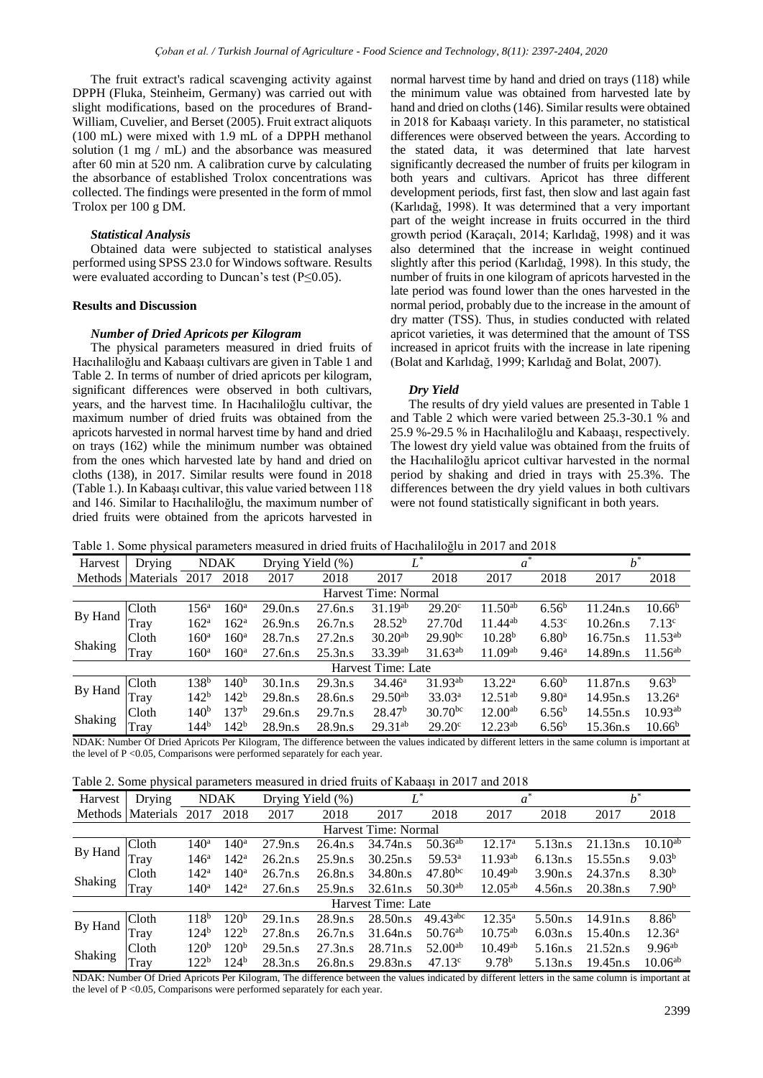The fruit extract's radical scavenging activity against DPPH (Fluka, Steinheim, Germany) was carried out with slight modifications, based on the procedures of Brand-William, Cuvelier, and Berset (2005). Fruit extract aliquots (100 mL) were mixed with 1.9 mL of a DPPH methanol solution (1 mg / mL) and the absorbance was measured after 60 min at 520 nm. A calibration curve by calculating the absorbance of established Trolox concentrations was collected. The findings were presented in the form of mmol Trolox per 100 g DM.

## *Statistical Analysis*

Obtained data were subjected to statistical analyses performed using SPSS 23.0 for Windows software. Results were evaluated according to Duncan's test (P≤0.05).

# **Results and Discussion**

## *Number of Dried Apricots per Kilogram*

The physical parameters measured in dried fruits of Hacıhaliloğlu and Kabaaşı cultivars are given in Table 1 and Table 2. In terms of number of dried apricots per kilogram, significant differences were observed in both cultivars, years, and the harvest time. In Hacıhaliloğlu cultivar, the maximum number of dried fruits was obtained from the apricots harvested in normal harvest time by hand and dried on trays (162) while the minimum number was obtained from the ones which harvested late by hand and dried on cloths (138), in 2017. Similar results were found in 2018 (Table 1.). In Kabaaşı cultivar, this value varied between 118 and 146. Similar to Hacıhaliloğlu, the maximum number of dried fruits were obtained from the apricots harvested in

normal harvest time by hand and dried on trays (118) while the minimum value was obtained from harvested late by hand and dried on cloths (146). Similar results were obtained in 2018 for Kabaaşı variety. In this parameter, no statistical differences were observed between the years. According to the stated data, it was determined that late harvest significantly decreased the number of fruits per kilogram in both years and cultivars. Apricot has three different development periods, first fast, then slow and last again fast (Karlıdağ, 1998). It was determined that a very important part of the weight increase in fruits occurred in the third growth period (Karaçalı, 2014; Karlıdağ, 1998) and it was also determined that the increase in weight continued slightly after this period (Karlıdağ, 1998). In this study, the number of fruits in one kilogram of apricots harvested in the late period was found lower than the ones harvested in the normal period, probably due to the increase in the amount of dry matter (TSS). Thus, in studies conducted with related apricot varieties, it was determined that the amount of TSS increased in apricot fruits with the increase in late ripening (Bolat and Karlıdağ, 1999; Karlıdağ and Bolat, 2007).

#### *Dry Yield*

The results of dry yield values are presented in Table 1 and Table 2 which were varied between 25.3-30.1 % and 25.9 %-29.5 % in Hacıhaliloğlu and Kabaaşı, respectively. The lowest dry yield value was obtained from the fruits of the Hacıhaliloğlu apricot cultivar harvested in the normal period by shaking and dried in trays with 25.3%. The differences between the dry yield values in both cultivars were not found statistically significant in both years.

Table 1. Some physical parameters measured in dried fruits of Hacıhaliloğlu in 2017 and 2018

| Harvest   | Drying             | <b>NDAK</b>      |                  | Drying Yield (%) |         | $L^*$                |                    | a                  |                   | $b^*$    |                    |
|-----------|--------------------|------------------|------------------|------------------|---------|----------------------|--------------------|--------------------|-------------------|----------|--------------------|
| Methods I | Materials          | 2017             | 2018             | 2017             | 2018    | 2017                 | 2018               | 2017               | 2018              | 2017     | 2018               |
|           |                    |                  |                  |                  |         | Harvest Time: Normal |                    |                    |                   |          |                    |
| By Hand   | Cloth              | 156 <sup>a</sup> | 160 <sup>a</sup> | 29.0n.s          | 27.6n.s | $31.19^{ab}$         | $29.20^{\circ}$    | $11.50^{ab}$       | $6.56^{b}$        | 11.24n.s | 10.66 <sup>b</sup> |
|           | <b>Tray</b>        | 162 <sup>a</sup> | 162 <sup>a</sup> | 26.9n.s          | 26.7n.s | $28.52^{b}$          | 27.70d             | $11.44^{ab}$       | 4.53 <sup>c</sup> | 10.26n.s | 7.13 <sup>c</sup>  |
|           | Cloth              | 160 <sup>a</sup> | 160 <sup>a</sup> | 28.7n.s          | 27.2n.s | $30.20^{ab}$         | $29.90^{bc}$       | 10.28 <sup>b</sup> | 6.80 <sup>b</sup> | 16.75n.s | $11.53^{ab}$       |
| Shaking   | Trav               | 160 <sup>a</sup> | 160 <sup>a</sup> | 27.6n.s          | 25.3n.s | 33.39 <sup>ab</sup>  | $31.63^{ab}$       | $11.09^{ab}$       | 9.46 <sup>a</sup> | 14.89n.s | $11.56^{ab}$       |
|           | Harvest Time: Late |                  |                  |                  |         |                      |                    |                    |                   |          |                    |
| By Hand   | Cloth              | 138 <sup>b</sup> | 140 <sup>b</sup> | 30.1n.s          | 29.3n.s | $34.46^a$            | $31.93^{ab}$       | $13.22^a$          | 6.60 <sup>b</sup> | 11.87n.s | 9.63 <sup>b</sup>  |
|           | <b>T</b> ray       | 142 <sup>b</sup> | 142 <sup>b</sup> | 29.8n.s          | 28.6n.s | $29.50^{ab}$         | 33.03 <sup>a</sup> | $12.51^{ab}$       | 9.80 <sup>a</sup> | 14.95n.s | 13.26 <sup>a</sup> |
| Shaking   | <b>Cloth</b>       | 140 <sup>b</sup> | 137 <sup>b</sup> | 29.6n.s          | 29.7n.s | 28.47 <sup>b</sup>   | $30.70^{bc}$       | $12.00^{ab}$       | 6.56 <sup>b</sup> | 14.55n.s | $10.93^{ab}$       |
|           | Trav               | $144^{b}$        | 142 <sup>b</sup> | 28.9n.s          | 28.9n.s | $29.31^{ab}$         | $29.20^{\circ}$    | $12.23^{ab}$       | $6.56^{b}$        | 15.36n.s | $10.66^{b}$        |

NDAK: Number Of Dried Apricots Per Kilogram, The difference between the values indicated by different letters in the same column is important at the level of  $P < 0.05$ , Comparisons were performed separately for each year.

Table 2. Some physical parameters measured in dried fruits of Kabaaşı in 2017 and 2018

| r-- <i>j</i> ---     |                    |                  |                  |                  |         |                      |                        |                    |         |          |                   |
|----------------------|--------------------|------------------|------------------|------------------|---------|----------------------|------------------------|--------------------|---------|----------|-------------------|
| Harvest              | Drying             | <b>NDAK</b>      |                  | Drying Yield (%) |         | $L^{\ast}$           |                        | a                  |         | $b^*$    |                   |
| Methods              | Materials          | 2017             | 2018             | 2017             | 2018    | 2017                 | 2018                   | 2017               | 2018    | 2017     | 2018              |
| Harvest Time: Normal |                    |                  |                  |                  |         |                      |                        |                    |         |          |                   |
| By Hand              | Cloth              | 140 <sup>a</sup> | 140 <sup>a</sup> | 27.9n.s          | 26.4n.s | 34.74n.s             | $50.36^{ab}$           | 12.17 <sup>a</sup> | 5.13n.s | 21.13n.s | $10.10^{ab}$      |
|                      | I ray              | $146^{\circ}$    | $142^{\rm a}$    | 26.2n.s          | 25.9n.s | 30.25n.s             | $59.53^a$              | $11.93^{ab}$       | 6.13n.s | 15.55n.s | 9.03 <sup>b</sup> |
| Shaking              | <b>Cloth</b>       | 142 <sup>a</sup> | 140 <sup>a</sup> | 26.7n.s          | 26.8n.s | 34.80n.s             | $47.80^{bc}$           | $10.49^{ab}$       | 3.90n.s | 24.37n.s | 8.30 <sup>b</sup> |
|                      | Trav               | 140 <sup>a</sup> | 142 <sup>a</sup> | 27.6n.s          | 25.9n.s | 32.61n.s             | $50.30^{ab}$           | $12.05^{ab}$       | 4.56n.s | 20.38n.s | 7.90 <sup>b</sup> |
|                      | Harvest Time: Late |                  |                  |                  |         |                      |                        |                    |         |          |                   |
|                      | Cloth              | 118 <sup>b</sup> | 120 <sup>b</sup> | 29.1n.s          | 28.9n.s | 28.50 <sub>n.s</sub> | $49.43$ <sup>abc</sup> | $12.35^{\rm a}$    | 5.50n.s | 14.91n.s | 8.86 <sup>b</sup> |
| By Hand              | Trav               | $124^{b}$        | 122 <sup>b</sup> | 27.8n.s          | 26.7n.s | 31.64n.s             | $50.76^{ab}$           | $10.75^{ab}$       | 6.03n.s | 15.40n.s | $12.36^{\circ}$   |
| Shaking              | <b>Cloth</b>       | 120 <sup>b</sup> | 120 <sup>b</sup> | 29.5n.s          | 27.3n.s | 28.71n.s             | $52.00^{ab}$           | $10.49^{ab}$       | 5.16n.s | 21.52n.s | $9.96^{ab}$       |
|                      | <b>Tray</b>        | 122 <sup>b</sup> | 124 <sup>b</sup> | 28.3n.s          | 26.8n.s | 29.83n.s             | 47.13c                 | 9.78 <sup>b</sup>  | 5.13n.s | 19.45n.s | $10.06^{ab}$      |

NDAK: Number Of Dried Apricots Per Kilogram, The difference between the values indicated by different letters in the same column is important at the level of P <0.05, Comparisons were performed separately for each year.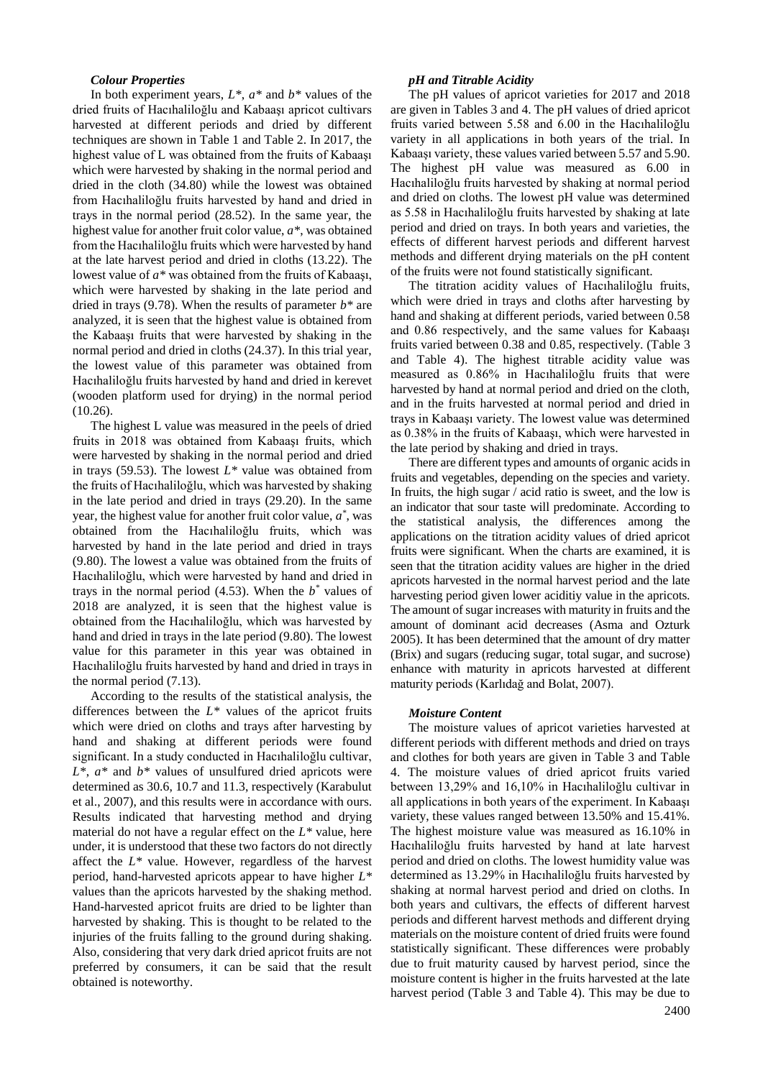# *Colour Properties*

In both experiment years, *L\**, *a\** and *b\** values of the dried fruits of Hacıhaliloğlu and Kabaaşı apricot cultivars harvested at different periods and dried by different techniques are shown in Table 1 and Table 2. In 2017, the highest value of L was obtained from the fruits of Kabaaşı which were harvested by shaking in the normal period and dried in the cloth (34.80) while the lowest was obtained from Hacıhaliloğlu fruits harvested by hand and dried in trays in the normal period (28.52). In the same year, the highest value for another fruit color value, *a\**, was obtained from the Hacıhaliloğlu fruits which were harvested by hand at the late harvest period and dried in cloths (13.22). The lowest value of *a\** was obtained from the fruits of Kabaaşı, which were harvested by shaking in the late period and dried in trays (9.78). When the results of parameter *b\** are analyzed, it is seen that the highest value is obtained from the Kabaaşı fruits that were harvested by shaking in the normal period and dried in cloths (24.37). In this trial year, the lowest value of this parameter was obtained from Hacıhaliloğlu fruits harvested by hand and dried in kerevet (wooden platform used for drying) in the normal period (10.26).

The highest L value was measured in the peels of dried fruits in 2018 was obtained from Kabaaşı fruits, which were harvested by shaking in the normal period and dried in trays (59.53). The lowest *L\** value was obtained from the fruits of Hacıhaliloğlu, which was harvested by shaking in the late period and dried in trays (29.20). In the same year, the highest value for another fruit color value,  $a^*$ , was obtained from the Hacıhaliloğlu fruits, which was harvested by hand in the late period and dried in trays (9.80). The lowest a value was obtained from the fruits of Hacıhaliloğlu, which were harvested by hand and dried in trays in the normal period  $(4.53)$ . When the  $b^*$  values of 2018 are analyzed, it is seen that the highest value is obtained from the Hacıhaliloğlu, which was harvested by hand and dried in trays in the late period (9.80). The lowest value for this parameter in this year was obtained in Hacıhaliloğlu fruits harvested by hand and dried in trays in the normal period (7.13).

According to the results of the statistical analysis, the differences between the *L\** values of the apricot fruits which were dried on cloths and trays after harvesting by hand and shaking at different periods were found significant. In a study conducted in Hacıhaliloğlu cultivar, *L\**, *a\** and *b\** values of unsulfured dried apricots were determined as 30.6, 10.7 and 11.3, respectively (Karabulut et al., 2007), and this results were in accordance with ours. Results indicated that harvesting method and drying material do not have a regular effect on the *L\** value, here under, it is understood that these two factors do not directly affect the *L\** value. However, regardless of the harvest period, hand-harvested apricots appear to have higher *L\** values than the apricots harvested by the shaking method. Hand-harvested apricot fruits are dried to be lighter than harvested by shaking. This is thought to be related to the injuries of the fruits falling to the ground during shaking. Also, considering that very dark dried apricot fruits are not preferred by consumers, it can be said that the result obtained is noteworthy.

# *pH and Titrable Acidity*

The pH values of apricot varieties for 2017 and 2018 are given in Tables 3 and 4. The pH values of dried apricot fruits varied between 5.58 and 6.00 in the Hacıhaliloğlu variety in all applications in both years of the trial. In Kabaaşı variety, these values varied between 5.57 and 5.90. The highest pH value was measured as 6.00 in Hacıhaliloğlu fruits harvested by shaking at normal period and dried on cloths. The lowest pH value was determined as 5.58 in Hacıhaliloğlu fruits harvested by shaking at late period and dried on trays. In both years and varieties, the effects of different harvest periods and different harvest methods and different drying materials on the pH content of the fruits were not found statistically significant.

The titration acidity values of Hacıhaliloğlu fruits, which were dried in trays and cloths after harvesting by hand and shaking at different periods, varied between 0.58 and 0.86 respectively, and the same values for Kabaaşı fruits varied between 0.38 and 0.85, respectively. (Table 3 and Table 4). The highest titrable acidity value was measured as 0.86% in Hacıhaliloğlu fruits that were harvested by hand at normal period and dried on the cloth, and in the fruits harvested at normal period and dried in trays in Kabaaşı variety. The lowest value was determined as 0.38% in the fruits of Kabaaşı, which were harvested in the late period by shaking and dried in trays.

There are different types and amounts of organic acids in fruits and vegetables, depending on the species and variety. In fruits, the high sugar / acid ratio is sweet, and the low is an indicator that sour taste will predominate. According to the statistical analysis, the differences among the applications on the titration acidity values of dried apricot fruits were significant. When the charts are examined, it is seen that the titration acidity values are higher in the dried apricots harvested in the normal harvest period and the late harvesting period given lower aciditiy value in the apricots. The amount of sugar increases with maturity in fruits and the amount of dominant acid decreases (Asma and Ozturk 2005). It has been determined that the amount of dry matter (Brix) and sugars (reducing sugar, total sugar, and sucrose) enhance with maturity in apricots harvested at different maturity periods (Karlıdağ and Bolat, 2007).

## *Moisture Content*

The moisture values of apricot varieties harvested at different periods with different methods and dried on trays and clothes for both years are given in Table 3 and Table 4. The moisture values of dried apricot fruits varied between 13,29% and 16,10% in Hacıhaliloğlu cultivar in all applications in both years of the experiment. In Kabaaşı variety, these values ranged between 13.50% and 15.41%. The highest moisture value was measured as 16.10% in Hacıhaliloğlu fruits harvested by hand at late harvest period and dried on cloths. The lowest humidity value was determined as 13.29% in Hacıhaliloğlu fruits harvested by shaking at normal harvest period and dried on cloths. In both years and cultivars, the effects of different harvest periods and different harvest methods and different drying materials on the moisture content of dried fruits were found statistically significant. These differences were probably due to fruit maturity caused by harvest period, since the moisture content is higher in the fruits harvested at the late harvest period (Table 3 and Table 4). This may be due to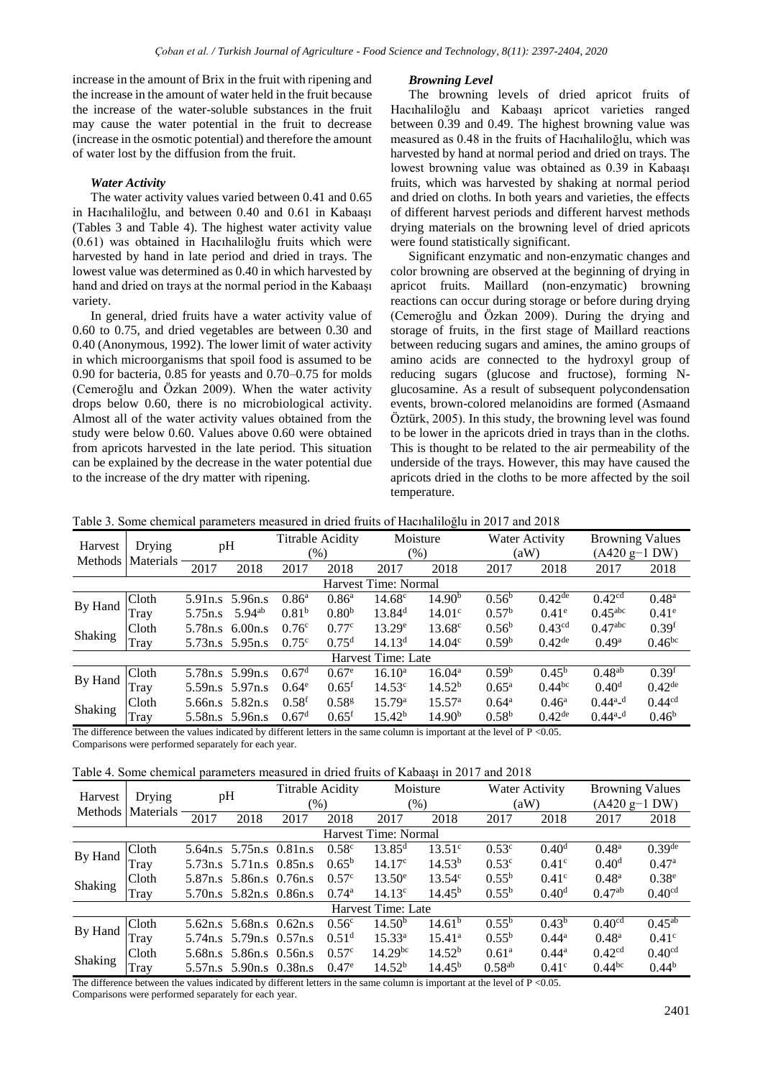increase in the amount of Brix in the fruit with ripening and the increase in the amount of water held in the fruit because the increase of the water-soluble substances in the fruit may cause the water potential in the fruit to decrease (increase in the osmotic potential) and therefore the amount of water lost by the diffusion from the fruit.

# *Water Activity*

The water activity values varied between 0.41 and 0.65 in Hacıhaliloğlu, and between 0.40 and 0.61 in Kabaaşı (Tables 3 and Table 4). The highest water activity value (0.61) was obtained in Hacıhaliloğlu fruits which were harvested by hand in late period and dried in trays. The lowest value was determined as 0.40 in which harvested by hand and dried on trays at the normal period in the Kabaaşı variety.

In general, dried fruits have a water activity value of 0.60 to 0.75, and dried vegetables are between 0.30 and 0.40 (Anonymous, 1992). The lower limit of water activity in which microorganisms that spoil food is assumed to be 0.90 for bacteria, 0.85 for yeasts and 0.70–0.75 for molds (Cemeroğlu and Özkan 2009). When the water activity drops below 0.60, there is no microbiological activity. Almost all of the water activity values obtained from the study were below 0.60. Values above 0.60 were obtained from apricots harvested in the late period. This situation can be explained by the decrease in the water potential due to the increase of the dry matter with ripening.

# *Browning Level*

The browning levels of dried apricot fruits of Hacıhaliloğlu and Kabaaşı apricot varieties ranged between 0.39 and 0.49. The highest browning value was measured as 0.48 in the fruits of Hacıhaliloğlu, which was harvested by hand at normal period and dried on trays. The lowest browning value was obtained as 0.39 in Kabaaşı fruits, which was harvested by shaking at normal period and dried on cloths. In both years and varieties, the effects of different harvest periods and different harvest methods drying materials on the browning level of dried apricots were found statistically significant.

Significant enzymatic and non-enzymatic changes and color browning are observed at the beginning of drying in apricot fruits. Maillard (non-enzymatic) browning reactions can occur during storage or before during drying (Cemeroğlu and Özkan 2009). During the drying and storage of fruits, in the first stage of Maillard reactions between reducing sugars and amines, the amino groups of amino acids are connected to the hydroxyl group of reducing sugars (glucose and fructose), forming Nglucosamine. As a result of subsequent polycondensation events, brown-colored melanoidins are formed (Asmaand Öztürk, 2005). In this study, the browning level was found to be lower in the apricots dried in trays than in the cloths. This is thought to be related to the air permeability of the underside of the trays. However, this may have caused the apricots dried in the cloths to be more affected by the soil temperature.

Table 3. Some chemical parameters measured in dried fruits of Hacıhaliloğlu in 2017 and 2018

|         | pH                                                      |                     | <b>Titrable Acidity</b><br>$(\%)$                           |                   | Moisture<br>$(\%)$ |                    |                                            |                    | <b>Browning Values</b> |                    |  |
|---------|---------------------------------------------------------|---------------------|-------------------------------------------------------------|-------------------|--------------------|--------------------|--------------------------------------------|--------------------|------------------------|--------------------|--|
|         |                                                         |                     |                                                             |                   |                    |                    | (aW)                                       |                    | $(A420 g-1 DW)$        |                    |  |
|         | 2017                                                    | 2018                | 2017                                                        | 2018              | 2017               | 2018               | 2017                                       | 2018               | 2017                   | 2018               |  |
|         |                                                         |                     |                                                             |                   |                    |                    |                                            |                    |                        |                    |  |
|         | 5.91 <sub>n,s</sub>                                     | 5.96n.s             | $0.86^{\rm a}$                                              | 0.86 <sup>a</sup> | $14.68^{\circ}$    | 14.90 <sup>b</sup> | 0.56 <sup>b</sup>                          | $0.42^{\text{de}}$ | 0.42 <sup>cd</sup>     | 0.48 <sup>a</sup>  |  |
| Trav    | 5.75n.s                                                 | $5.94^{ab}$         | 0.81 <sup>b</sup>                                           | 0.80 <sup>b</sup> | 13.84 <sup>d</sup> | 14.01 <sup>c</sup> | 0.57 <sup>b</sup>                          | $0.41^\circ$       | $0.45$ <sup>abc</sup>  | 0.41 <sup>e</sup>  |  |
|         | 5.78n.s                                                 | 6.00n.s             | $0.76^{\circ}$                                              | 0.77c             | 13.29e             | $13.68^{\circ}$    | 0.56 <sup>b</sup>                          | $0.43^{cd}$        | $0.47$ <sup>abc</sup>  | 0.39 <sup>f</sup>  |  |
| Trav    |                                                         |                     | $0.75^{\circ}$                                              | 0.75 <sup>d</sup> | 14.13 <sup>d</sup> | $14.04^{\circ}$    | 0.59 <sup>b</sup>                          | $0.42^{\text{de}}$ | $0.49^{\rm a}$         | $0.46^{bc}$        |  |
|         |                                                         |                     |                                                             |                   |                    |                    |                                            |                    |                        |                    |  |
|         | 5.78n.s                                                 | 5.99 <sub>n.s</sub> | 0.67 <sup>d</sup>                                           | $0.67^e$          | $16.10^a$          | 16.04 <sup>a</sup> | 0.59 <sup>b</sup>                          | $0.45^{\rm b}$     | 0.48 <sup>ab</sup>     | 0.39 <sup>f</sup>  |  |
| Trav    |                                                         |                     | $0.64^e$                                                    | $0.65^{\rm f}$    | $14.53^{\circ}$    | $14.52^{b}$        | $0.65^{\rm a}$                             | $0.44$ bc          | 0.40 <sup>d</sup>      | $0.42^{\text{de}}$ |  |
|         | 5.66n.s                                                 | 5.82n.s             | $0.58^{f}$                                                  | 0.58 <sup>g</sup> | 15.79 <sup>a</sup> | 15.57 <sup>a</sup> | $0.64^{\rm a}$                             | $0.46^{\rm a}$     | $0.44^{\text{a-d}}$    | 0.44 <sup>cd</sup> |  |
| Trav    |                                                         |                     | 0.67 <sup>d</sup>                                           | $0.65^{\rm f}$    | 15.42 <sup>b</sup> | 14.90 <sup>b</sup> | 0.58 <sup>b</sup>                          | $0.42^{\text{de}}$ | $0.44^{a_d}$           | 0.46 <sup>b</sup>  |  |
| Methods | Drying<br>Materials<br>Cloth<br>Cloth<br>Cloth<br>Cloth |                     | 5.73 n.s 5.95 n.s<br>5.59 n.s 5.97 n.s<br>5.58 n.s 5.96 n.s | $1.11 - 11 - 100$ | $\cdots$ $\cdots$  |                    | Harvest Time: Normal<br>Harvest Time: Late |                    | Water Activity         | $\Omega$           |  |

The difference between the values indicated by different letters in the same column is important at the level of  $P < 0.05$ . Comparisons were performed separately for each year.

| Table 4. Some chemical parameters measured in dried fruits of Kabaasi in 2017 and 2018 |  |  |  |  |
|----------------------------------------------------------------------------------------|--|--|--|--|
|                                                                                        |  |  |  |  |

|                      |                     |      | pH                               |      | <b>Titrable Acidity</b><br>$(\%)$ |                    | Moisture<br>$(\%)$ |                    | <b>Water Activity</b><br>(aW) |                    | <b>Browning Values</b> |
|----------------------|---------------------|------|----------------------------------|------|-----------------------------------|--------------------|--------------------|--------------------|-------------------------------|--------------------|------------------------|
| Harvest<br>Methods   | Drying<br>Materials |      |                                  |      |                                   |                    |                    |                    |                               |                    | $(A420 g-1 DW)$        |
|                      |                     | 2017 | 2018                             | 2017 | 2018                              | 2017               | 2018               | 2017               | 2018                          | 2017               | 2018                   |
| Harvest Time: Normal |                     |      |                                  |      |                                   |                    |                    |                    |                               |                    |                        |
| By Hand              | Cloth               |      | 5.64 n.s 5.75 n.s 0.81 n.s       |      | 0.58 <sup>c</sup>                 | $13.85^{\rm d}$    | $13.51^{\circ}$    | $0.53^{\circ}$     | 0.40 <sup>d</sup>             | $0.48^{\rm a}$     | $0.39$ <sup>de</sup>   |
|                      | <b>Tray</b>         |      | 5.73 n.s 5.71 n.s 0.85 n.s       |      | $0.65^{\rm b}$                    | 14.17c             | 14.53 <sup>b</sup> | 0.53 <sup>c</sup>  | 0.41 <sup>c</sup>             | 0.40 <sup>d</sup>  | $0.47^{\rm a}$         |
|                      | Cloth               |      | 5.87n.s 5.86n.s 0.76n.s          |      | $0.57^{\circ}$                    | $13.50^e$          | $13.54^{\circ}$    | $0.55^{b}$         | 0.41 <sup>c</sup>             | $0.48^{\rm a}$     | 0.38 <sup>e</sup>      |
| Shaking              | Trav                |      | 5.70 n.s 5.82 n.s 0.86 n.s       |      | 0.74 <sup>a</sup>                 | 14.13 <sup>c</sup> | $14.45^{b}$        | $0.55^{b}$         | 0.40 <sup>d</sup>             | $0.47^{ab}$        | 0.40 <sup>cd</sup>     |
|                      |                     |      |                                  |      |                                   | Harvest Time: Late |                    |                    |                               |                    |                        |
|                      | Cloth               |      | $5.62$ n.s $5.68$ n.s $0.62$ n.s |      | $0.56^{\circ}$                    | 14.50 <sup>b</sup> | 14.61 <sup>b</sup> | $0.55^{b}$         | 0.43 <sup>b</sup>             | 0.40 <sup>cd</sup> | $0.45^{ab}$            |
| By Hand              | Tray                |      | 5.74 n.s 5.79 n.s 0.57 n.s       |      | 0.51 <sup>d</sup>                 | $15.33^{a}$        | $15.41^{\circ}$    | $0.55^{b}$         | $0.44^a$                      | $0.48^{\rm a}$     | 0.41 <sup>c</sup>      |
|                      | Cloth               |      | 5.68 n.s. 5.86 n.s. 0.56 n.s.    |      | $0.57^{\circ}$                    | $14.29^{bc}$       | $14.52^{b}$        | $0.61^{\rm a}$     | $0.44^a$                      | 0.42 <sup>cd</sup> | 0.40 <sup>cd</sup>     |
| Shaking              | Trav                |      | 5.57n.s 5.90n.s 0.38n.s          |      | $0.47^e$                          | 14.52 <sup>b</sup> | 14.45 <sup>b</sup> | 0.58 <sup>ab</sup> | 0.41 <sup>c</sup>             | $0.44^{bc}$        | 0.44 <sup>b</sup>      |

The difference between the values indicated by different letters in the same column is important at the level of  $P < 0.05$ .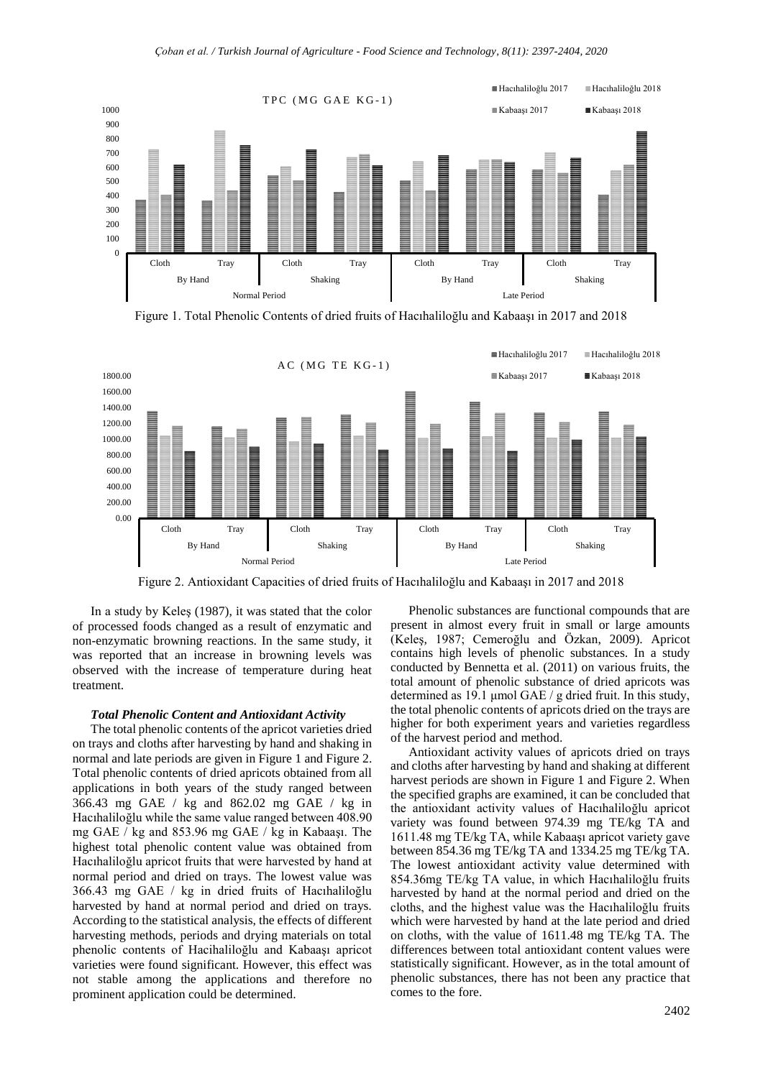

Figure 1. Total Phenolic Contents of dried fruits of Hacıhaliloğlu and Kabaaşı in 2017 and 2018



Figure 2. Antioxidant Capacities of dried fruits of Hacıhaliloğlu and Kabaaşı in 2017 and 2018

In a study by Keleş (1987), it was stated that the color of processed foods changed as a result of enzymatic and non-enzymatic browning reactions. In the same study, it was reported that an increase in browning levels was observed with the increase of temperature during heat treatment.

## *Total Phenolic Content and Antioxidant Activity*

The total phenolic contents of the apricot varieties dried on trays and cloths after harvesting by hand and shaking in normal and late periods are given in Figure 1 and Figure 2. Total phenolic contents of dried apricots obtained from all applications in both years of the study ranged between 366.43 mg GAE / kg and 862.02 mg GAE / kg in Hacıhaliloğlu while the same value ranged between 408.90 mg GAE / kg and 853.96 mg GAE / kg in Kabaaşı. The highest total phenolic content value was obtained from Hacıhaliloğlu apricot fruits that were harvested by hand at normal period and dried on trays. The lowest value was 366.43 mg GAE / kg in dried fruits of Hacıhaliloğlu harvested by hand at normal period and dried on trays. According to the statistical analysis, the effects of different harvesting methods, periods and drying materials on total phenolic contents of Hacihaliloğlu and Kabaaşı apricot varieties were found significant. However, this effect was not stable among the applications and therefore no prominent application could be determined.

Phenolic substances are functional compounds that are present in almost every fruit in small or large amounts (Keleş, 1987; Cemeroğlu and Özkan, 2009). Apricot contains high levels of phenolic substances. In a study conducted by Bennetta et al. (2011) on various fruits, the total amount of phenolic substance of dried apricots was determined as 19.1 μmol GAE / g dried fruit. In this study, the total phenolic contents of apricots dried on the trays are higher for both experiment years and varieties regardless of the harvest period and method.

Antioxidant activity values of apricots dried on trays and cloths after harvesting by hand and shaking at different harvest periods are shown in Figure 1 and Figure 2. When the specified graphs are examined, it can be concluded that the antioxidant activity values of Hacıhaliloğlu apricot variety was found between 974.39 mg TE/kg TA and 1611.48 mg TE/kg TA, while Kabaaşı apricot variety gave between 854.36 mg TE/kg TA and 1334.25 mg TE/kg TA. The lowest antioxidant activity value determined with 854.36mg TE/kg TA value, in which Hacıhaliloğlu fruits harvested by hand at the normal period and dried on the cloths, and the highest value was the Hacıhaliloğlu fruits which were harvested by hand at the late period and dried on cloths, with the value of 1611.48 mg TE/kg TA. The differences between total antioxidant content values were statistically significant. However, as in the total amount of phenolic substances, there has not been any practice that comes to the fore.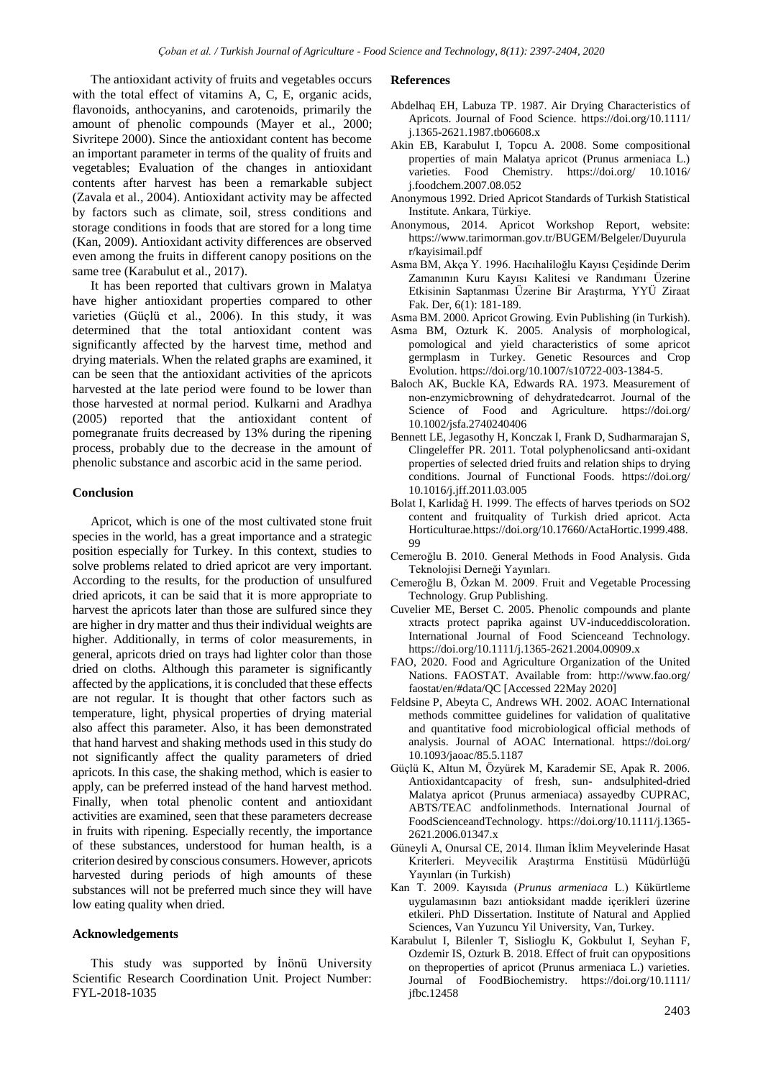The antioxidant activity of fruits and vegetables occurs with the total effect of vitamins A, C, E, organic acids, flavonoids, anthocyanins, and carotenoids, primarily the amount of phenolic compounds (Mayer et al., 2000; Sivritepe 2000). Since the antioxidant content has become an important parameter in terms of the quality of fruits and vegetables; Evaluation of the changes in antioxidant contents after harvest has been a remarkable subject (Zavala et al., 2004). Antioxidant activity may be affected by factors such as climate, soil, stress conditions and storage conditions in foods that are stored for a long time (Kan, 2009). Antioxidant activity differences are observed even among the fruits in different canopy positions on the same tree (Karabulut et al., 2017).

It has been reported that cultivars grown in Malatya have higher antioxidant properties compared to other varieties (Güçlü et al., 2006). In this study, it was determined that the total antioxidant content was significantly affected by the harvest time, method and drying materials. When the related graphs are examined, it can be seen that the antioxidant activities of the apricots harvested at the late period were found to be lower than those harvested at normal period. Kulkarni and Aradhya (2005) reported that the antioxidant content of pomegranate fruits decreased by 13% during the ripening process, probably due to the decrease in the amount of phenolic substance and ascorbic acid in the same period.

## **Conclusion**

Apricot, which is one of the most cultivated stone fruit species in the world, has a great importance and a strategic position especially for Turkey. In this context, studies to solve problems related to dried apricot are very important. According to the results, for the production of unsulfured dried apricots, it can be said that it is more appropriate to harvest the apricots later than those are sulfured since they are higher in dry matter and thus their individual weights are higher. Additionally, in terms of color measurements, in general, apricots dried on trays had lighter color than those dried on cloths. Although this parameter is significantly affected by the applications, it is concluded that these effects are not regular. It is thought that other factors such as temperature, light, physical properties of drying material also affect this parameter. Also, it has been demonstrated that hand harvest and shaking methods used in this study do not significantly affect the quality parameters of dried apricots. In this case, the shaking method, which is easier to apply, can be preferred instead of the hand harvest method. Finally, when total phenolic content and antioxidant activities are examined, seen that these parameters decrease in fruits with ripening. Especially recently, the importance of these substances, understood for human health, is a criterion desired by conscious consumers. However, apricots harvested during periods of high amounts of these substances will not be preferred much since they will have low eating quality when dried.

#### **Acknowledgements**

This study was supported by İnönü University Scientific Research Coordination Unit. Project Number: FYL-2018-1035

#### **References**

- Abdelhaq EH, Labuza TP. 1987. Air Drying Characteristics of Apricots. Journal of Food Science. https://doi.org/10.1111/ j.1365-2621.1987.tb06608.x
- Akin EB, Karabulut I, Topcu A. 2008. Some compositional properties of main Malatya apricot (Prunus armeniaca L.) varieties. Food Chemistry. https://doi.org/ 10.1016/ j.foodchem.2007.08.052
- Anonymous 1992. Dried Apricot Standards of Turkish Statistical Institute. Ankara, Türkiye.
- Anonymous, 2014. Apricot Workshop Report, website: https://www.tarimorman.gov.tr/BUGEM/Belgeler/Duyurula r/kayisimail.pdf
- Asma BM, Akça Y. 1996. Hacıhaliloğlu Kayısı Çeşidinde Derim Zamanının Kuru Kayısı Kalitesi ve Randımanı Üzerine Etkisinin Saptanması Üzerine Bir Araştırma, YYÜ Ziraat Fak. Der, 6(1): 181-189.
- Asma BM. 2000. Apricot Growing. Evin Publishing (in Turkish).
- Asma BM, Ozturk K. 2005. Analysis of morphological, pomological and yield characteristics of some apricot germplasm in Turkey. Genetic Resources and Crop Evolution. https://doi.org/10.1007/s10722-003-1384-5.
- Baloch AK, Buckle KA, Edwards RA. 1973. Measurement of non‐enzymicbrowning of dehydratedcarrot. Journal of the Science of Food and Agriculture. https://doi.org/ 10.1002/jsfa.2740240406
- Bennett LE, Jegasothy H, Konczak I, Frank D, Sudharmarajan S, Clingeleffer PR. 2011. Total polyphenolicsand anti-oxidant properties of selected dried fruits and relation ships to drying conditions. Journal of Functional Foods. https://doi.org/ 10.1016/j.jff.2011.03.005
- Bolat I, Karlidağ H. 1999. The effects of harves tperiods on SO2 content and fruitquality of Turkish dried apricot. Acta Horticulturae.https://doi.org/10.17660/ActaHortic.1999.488. 99
- Cemeroğlu B. 2010. General Methods in Food Analysis. Gıda Teknolojisi Derneği Yayınları.
- Cemeroğlu B, Özkan M. 2009. Fruit and Vegetable Processing Technology. Grup Publishing.
- Cuvelier ME, Berset C. 2005. Phenolic compounds and plante xtracts protect paprika against UV-induceddiscoloration. International Journal of Food Scienceand Technology. https://doi.org/10.1111/j.1365-2621.2004.00909.x
- FAO, 2020. Food and Agriculture Organization of the United Nations. FAOSTAT. Available from: http://www.fao.org/ faostat/en/#data/QC [Accessed 22May 2020]
- Feldsine P, Abeyta C, Andrews WH. 2002. AOAC International methods committee guidelines for validation of qualitative and quantitative food microbiological official methods of analysis. Journal of AOAC International. https://doi.org/ 10.1093/jaoac/85.5.1187
- Güçlü K, Altun M, Özyürek M, Karademir SE, Apak R. 2006. Antioxidantcapacity of fresh, sun- andsulphited-dried Malatya apricot (Prunus armeniaca) assayedby CUPRAC, ABTS/TEAC andfolinmethods. International Journal of FoodScienceandTechnology. https://doi.org/10.1111/j.1365- 2621.2006.01347.x
- Güneyli A, Onursal CE, 2014. Ilıman İklim Meyvelerinde Hasat Kriterleri. Meyvecilik Araştırma Enstitüsü Müdürlüğü Yayınları (in Turkish)
- Kan T. 2009. Kayısıda (*Prunus armeniaca* L.) Kükürtleme uygulamasının bazı antioksidant madde içerikleri üzerine etkileri. PhD Dissertation. Institute of Natural and Applied Sciences, Van Yuzuncu Yil University, Van, Turkey.
- Karabulut I, Bilenler T, Sislioglu K, Gokbulut I, Seyhan F, Ozdemir IS, Ozturk B. 2018. Effect of fruit can opypositions on theproperties of apricot (Prunus armeniaca L.) varieties. Journal of FoodBiochemistry. https://doi.org/10.1111/ jfbc.12458